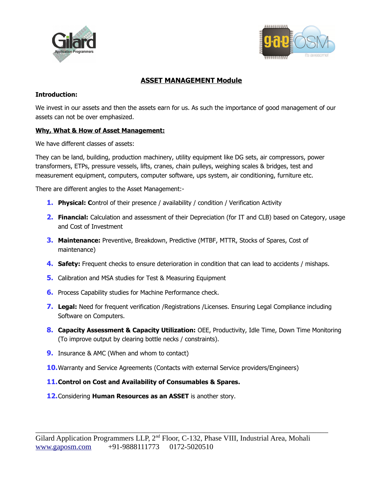



# **ASSET MANAGEMENT Module**

### **Introduction:**

We invest in our assets and then the assets earn for us. As such the importance of good management of our assets can not be over emphasized.

# **Why, What & How of Asset Management:**

We have different classes of assets:

They can be land, building, production machinery, utility equipment like DG sets, air compressors, power transformers, ETPs, pressure vessels, lifts, cranes, chain pulleys, weighing scales & bridges, test and measurement equipment, computers, computer software, ups system, air conditioning, furniture etc.

There are different angles to the Asset Management:-

- **1. Physical: Control of their presence / availability / condition / Verification Activity**
- **2. Financial:** Calculation and assessment of their Depreciation (for IT and CLB) based on Category, usage and Cost of Investment
- **3. Maintenance:** Preventive, Breakdown, Predictive (MTBF, MTTR, Stocks of Spares, Cost of maintenance)
- **4. Safety:** Frequent checks to ensure deterioration in condition that can lead to accidents / mishaps.
- **5.** Calibration and MSA studies for Test & Measuring Equipment
- **6.** Process Capability studies for Machine Performance check.
- **7. Legal:** Need for frequent verification /Registrations /Licenses. Ensuring Legal Compliance including Software on Computers.
- 8. Capacity Assessment & Capacity Utilization: OEE, Productivity, Idle Time, Down Time Monitoring (To improve output by clearing bottle necks / constraints).
- **9.** Insurance & AMC (When and whom to contact)
- **10.**Warranty and Service Agreements (Contacts with external Service providers/Engineers)

### **11.Control on Cost and Availability of Consumables & Spares.**

**12.**Considering **Human Resources as an ASSET** is another story.